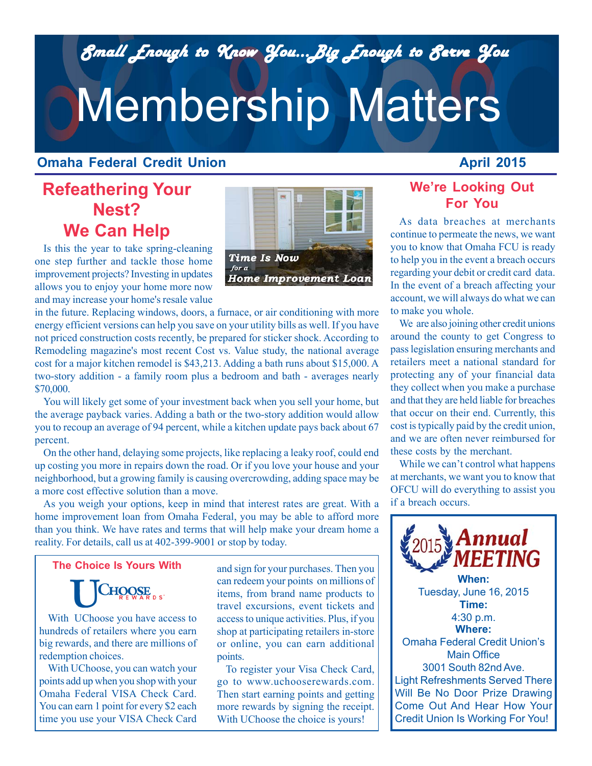*Small Enough to Know You...Big Enough to Serve You Small Enough to Know You...Big Enough to Serve You*

# Membership Matters

### **Omaha Federal Credit Union**

## **Refeathering Your Nest? We Can Help**

Is this the year to take spring-cleaning one step further and tackle those home improvement projects? Investing in updates allows you to enjoy your home more now and may increase your home's resale value

in the future. Replacing windows, doors, a furnace, or air conditioning with more energy efficient versions can help you save on your utility bills as well. If you have not priced construction costs recently, be prepared for sticker shock. According to Remodeling magazine's most recent Cost vs. Value study, the national average cost for a major kitchen remodel is \$43,213. Adding a bath runs about \$15,000. A two-story addition - a family room plus a bedroom and bath - averages nearly \$70,000.

You will likely get some of your investment back when you sell your home, but the average payback varies. Adding a bath or the two-story addition would allow you to recoup an average of 94 percent, while a kitchen update pays back about 67 percent.

On the other hand, delaying some projects, like replacing a leaky roof, could end up costing you more in repairs down the road. Or if you love your house and your neighborhood, but a growing family is causing overcrowding, adding space may be a more cost effective solution than a move.

As you weigh your options, keep in mind that interest rates are great. With a home improvement loan from Omaha Federal, you may be able to afford more than you think. We have rates and terms that will help make your dream home a reality. For details, call us at 402-399-9001 or stop by today.

**The Choice Is Yours With**

CHOOSE

With UChoose you have access to hundreds of retailers where you earn big rewards, and there are millions of redemption choices.

With UChoose, you can watch your points add up when you shop with your Omaha Federal VISA Check Card. You can earn 1 point for every \$2 each time you use your VISA Check Card

*Gift Giving The Easy* access to unique activities. Plus, if you shop at participating retailers in-store and sign for your purchases. Then you can redeem your points on millions of items, from brand name products to travel excursions, event tickets and or online, you can earn additional points.

To register your Visa Check Card, go to www.uchooserewards.com. Then start earning points and getting more rewards by signing the receipt. With UChoose the choice is yours!

## **We're Looking Out For You**

As data breaches at merchants continue to permeate the news, we want you to know that Omaha FCU is ready to help you in the event a breach occurs regarding your debit or credit card data. In the event of a breach affecting your account, we will always do what we can to make you whole.

We are also joining other credit unions around the county to get Congress to pass legislation ensuring merchants and retailers meet a national standard for protecting any of your financial data they collect when you make a purchase and that they are held liable for breaches that occur on their end. Currently, this cost is typically paid by the credit union, and we are often never reimbursed for these costs by the merchant.

While we can't control what happens at merchants, we want you to know that OFCU will do everything to assist you if a breach occurs.

4:30 p.m. Light Refreshments Served There Will Be No Door Prize Drawing Come Out And Hear How Your Credit Union Is Working For You! **Where:** Omaha Federal Credit Union's Main Office 3001 South 82nd Ave.



 $_{2015}$  Annual **MEETING When:** Tuesday, June 16, 2015 **Time:**

## **April 2015**